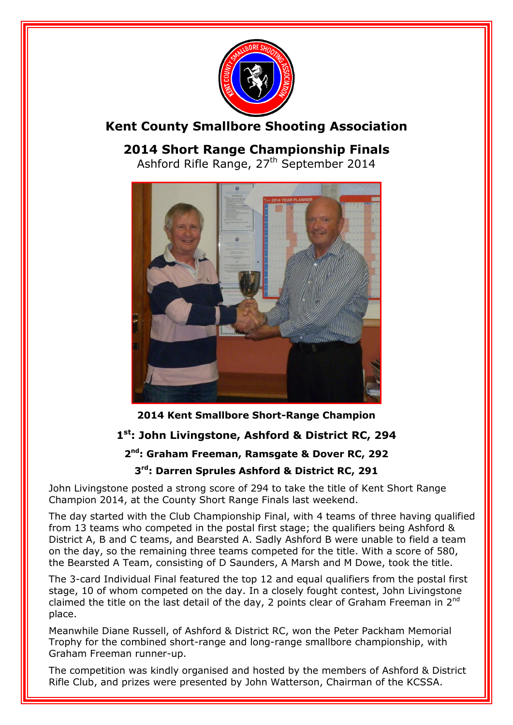

## **Kent County Smallbore Shooting Association**

**2014 Short Range Championship Finals**

Ashford Rifle Range, 27<sup>th</sup> September 2014



**2014 Kent Smallbore Short-Range Champion**

## **1 st: John Livingstone, Ashford & District RC, 294**

#### **2 nd: Graham Freeman, Ramsgate & Dover RC, 292**

#### **3 rd: Darren Sprules Ashford & District RC, 291**

John Livingstone posted a strong score of 294 to take the title of Kent Short Range Champion 2014, at the County Short Range Finals last weekend.

The day started with the Club Championship Final, with 4 teams of three having qualified from 13 teams who competed in the postal first stage; the qualifiers being Ashford & District A, B and C teams, and Bearsted A. Sadly Ashford B were unable to field a team on the day, so the remaining three teams competed for the title. With a score of 580, the Bearsted A Team, consisting of D Saunders, A Marsh and M Dowe, took the title.

The 3-card Individual Final featured the top 12 and equal qualifiers from the postal first stage, 10 of whom competed on the day. In a closely fought contest, John Livingstone claimed the title on the last detail of the day, 2 points clear of Graham Freeman in  $2^{nd}$ place.

Meanwhile Diane Russell, of Ashford & District RC, won the Peter Packham Memorial Trophy for the combined short-range and long-range smallbore championship, with Graham Freeman runner-up.

The competition was kindly organised and hosted by the members of Ashford & District Rifle Club, and prizes were presented by John Watterson, Chairman of the KCSSA.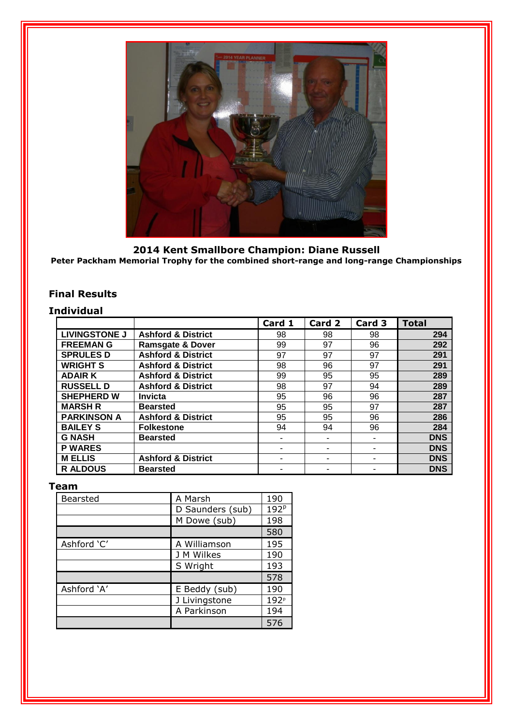

**2014 Kent Smallbore Champion: Diane Russell Peter Packham Memorial Trophy for the combined short-range and long-range Championships**

#### **Final Results**

#### **Individual**

|                      |                               | Card 1 | Card 2 | Card 3 | <b>Total</b> |
|----------------------|-------------------------------|--------|--------|--------|--------------|
| <b>LIVINGSTONE J</b> | <b>Ashford &amp; District</b> | 98     | 98     | 98     | 294          |
| <b>FREEMANG</b>      | <b>Ramsgate &amp; Dover</b>   | 99     | 97     | 96     | 292          |
| <b>SPRULES D</b>     | <b>Ashford &amp; District</b> | 97     | 97     | 97     | 291          |
| <b>WRIGHT S</b>      | <b>Ashford &amp; District</b> | 98     | 96     | 97     | 291          |
| <b>ADAIR K</b>       | <b>Ashford &amp; District</b> | 99     | 95     | 95     | 289          |
| <b>RUSSELL D</b>     | <b>Ashford &amp; District</b> | 98     | 97     | 94     | 289          |
| <b>SHEPHERD W</b>    | <b>Invicta</b>                | 95     | 96     | 96     | 287          |
| <b>MARSH R</b>       | <b>Bearsted</b>               | 95     | 95     | 97     | 287          |
| <b>PARKINSON A</b>   | <b>Ashford &amp; District</b> | 95     | 95     | 96     | 286          |
| <b>BAILEY S</b>      | <b>Folkestone</b>             | 94     | 94     | 96     | 284          |
| <b>G NASH</b>        | <b>Bearsted</b>               | ۰      |        |        | <b>DNS</b>   |
| <b>P WARES</b>       |                               | ۰      |        |        | <b>DNS</b>   |
| <b>M ELLIS</b>       | <b>Ashford &amp; District</b> | ۰      | ۰      | ۰      | <b>DNS</b>   |
| <b>RALDOUS</b>       | <b>Bearsted</b>               | ۰      |        |        | <b>DNS</b>   |

#### **Team**

| <b>Bearsted</b> | A Marsh          | 190              |
|-----------------|------------------|------------------|
|                 | D Saunders (sub) | 192 <sup>p</sup> |
|                 | M Dowe (sub)     | 198              |
|                 |                  | 580              |
| Ashford 'C'     | A Williamson     | 195              |
|                 | J M Wilkes       | 190              |
|                 | S Wright         | 193              |
|                 |                  | 578              |
| Ashford 'A'     | E Beddy (sub)    | 190              |
|                 | J Livingstone    | 192 <sup>p</sup> |
|                 | A Parkinson      | 194              |
|                 |                  | 576              |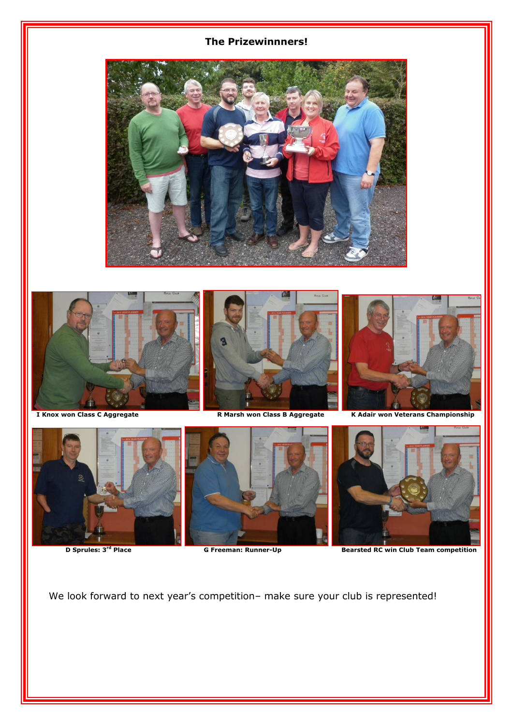#### **The Prizewinnners!**







**D Sprules: 3<sup>rd</sup> Place** 



We look forward to next year's competition- make sure your club is represented!